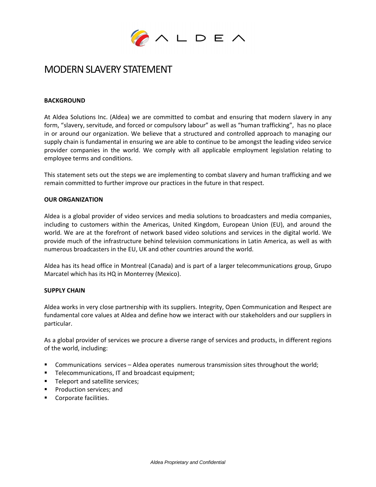

# MODERN SLAVERY STATEMENT

## **BACKGROUND**

At Aldea Solutions Inc. (Aldea) we are committed to combat and ensuring that modern slavery in any form, "slavery, servitude, and forced or compulsory labour" as well as "human trafficking", has no place in or around our organization. We believe that a structured and controlled approach to managing our supply chain is fundamental in ensuring we are able to continue to be amongst the leading video service provider companies in the world. We comply with all applicable employment legislation relating to employee terms and conditions.

This statement sets out the steps we are implementing to combat slavery and human trafficking and we remain committed to further improve our practices in the future in that respect.

#### **OUR ORGANIZATION**

Aldea is a global provider of video services and media solutions to broadcasters and media companies, including to customers within the Americas, United Kingdom, European Union (EU), and around the world. We are at the forefront of network based video solutions and services in the digital world. We provide much of the infrastructure behind television communications in Latin America, as well as with numerous broadcasters in the EU, UK and other countries around the world.

Aldea has its head office in Montreal (Canada) and is part of a larger telecommunications group, Grupo Marcatel which has its HQ in Monterrey (Mexico).

#### **SUPPLY CHAIN**

Aldea works in very close partnership with its suppliers. Integrity, Open Communication and Respect are fundamental core values at Aldea and define how we interact with our stakeholders and our suppliers in particular.

As a global provider of services we procure a diverse range of services and products, in different regions of the world, including:

- Communications services Aldea operates numerous transmission sites throughout the world;
- **Telecommunications, IT and broadcast equipment;**
- **Teleport and satellite services;**
- **Production services; and**
- **Corporate facilities.**